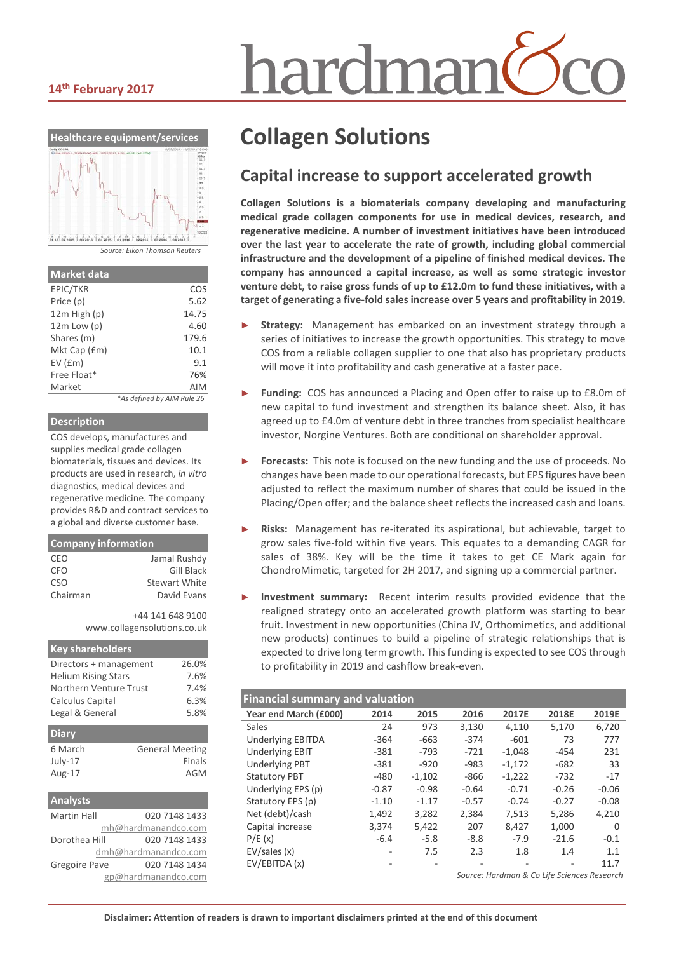#### **14th February 2017**



*Source: Eikon Thomson Reuters*

| <b>Market data</b> |                            |
|--------------------|----------------------------|
| EPIC/TKR           | COS                        |
| Price (p)          | 5.62                       |
| $12m$ High $(p)$   | 14.75                      |
| $12m$ Low (p)      | 4.60                       |
| Shares (m)         | 179.6                      |
| Mkt Cap (£m)       | 10.1                       |
| $EV$ ( $Em$ )      | 9.1                        |
| Free Float*        | 76%                        |
| Market             | AIM                        |
|                    | *As defined by AIM Rule 26 |

#### **Description**

COS develops, manufactures and supplies medical grade collagen biomaterials, tissues and devices. Its products are used in research, *in vitro* diagnostics, medical devices and regenerative medicine. The company provides R&D and contract services to a global and diverse customer base.

#### **Company information** CEO Jamal Rushdy CFO Gill Black CSO Stewart White Chairman David Evans

+44 141 648 9100 www.collagensolutions.co.uk

| <b>Key shareholders</b>    |                        |  |  |  |  |  |
|----------------------------|------------------------|--|--|--|--|--|
| Directors + management     | 26.0%                  |  |  |  |  |  |
| <b>Helium Rising Stars</b> | 7.6%                   |  |  |  |  |  |
| Northern Venture Trust     | 7.4%                   |  |  |  |  |  |
| Calculus Capital           | 6.3%                   |  |  |  |  |  |
| Legal & General            | 5.8%                   |  |  |  |  |  |
| <b>Diary</b>               |                        |  |  |  |  |  |
| 6 March                    | <b>General Meeting</b> |  |  |  |  |  |
| July-17                    | Finals                 |  |  |  |  |  |
| Aug-17                     | AGM                    |  |  |  |  |  |
| <b>Analysts</b>            |                        |  |  |  |  |  |
| Martin Hall                | 020 7148 1433          |  |  |  |  |  |
| mh@hardmanandco.com        |                        |  |  |  |  |  |
| Dorothea Hill              | 020 7148 1433          |  |  |  |  |  |
|                            | dmh@hardmanandco.com   |  |  |  |  |  |

Gregoire Pave 020 7148 1434

gp@hardmanandco.com

# hardmar

# **Collagen Solutions**

#### **Capital increase to support accelerated growth**

**Collagen Solutions is a biomaterials company developing and manufacturing medical grade collagen components for use in medical devices, research, and regenerative medicine. A number of investment initiatives have been introduced over the last year to accelerate the rate of growth, including global commercial infrastructure and the development of a pipeline of finished medical devices. The company has announced a capital increase, as well as some strategic investor venture debt, to raise gross funds of up to £12.0m to fund these initiatives, with a target of generating a five-fold sales increase over 5 years and profitability in 2019.**

- Strategy: Management has embarked on an investment strategy through a series of initiatives to increase the growth opportunities. This strategy to move COS from a reliable collagen supplier to one that also has proprietary products will move it into profitability and cash generative at a faster pace.
- Funding: COS has announced a Placing and Open offer to raise up to £8.0m of new capital to fund investment and strengthen its balance sheet. Also, it has agreed up to £4.0m of venture debt in three tranches from specialist healthcare investor, Norgine Ventures. Both are conditional on shareholder approval.
- Forecasts: This note is focused on the new funding and the use of proceeds. No changes have been made to our operational forecasts, but EPS figures have been adjusted to reflect the maximum number of shares that could be issued in the Placing/Open offer; and the balance sheet reflects the increased cash and loans.
- ► **Risks:** Management has re-iterated its aspirational, but achievable, target to grow sales five-fold within five years. This equates to a demanding CAGR for sales of 38%. Key will be the time it takes to get CE Mark again for ChondroMimetic, targeted for 2H 2017, and signing up a commercial partner.
- Investment summary: Recent interim results provided evidence that the realigned strategy onto an accelerated growth platform was starting to bear fruit. Investment in new opportunities (China JV, Orthomimetics, and additional new products) continues to build a pipeline of strategic relationships that is expected to drive long term growth. This funding is expected to see COS through to profitability in 2019 and cashflow break-even.

| <b>Financial summary and valuation</b> |         |          |         |          |         |          |  |
|----------------------------------------|---------|----------|---------|----------|---------|----------|--|
| Year end March (£000)                  | 2014    | 2015     | 2016    | 2017E    | 2018E   | 2019E    |  |
| Sales                                  | 24      | 973      | 3,130   | 4,110    | 5,170   | 6,720    |  |
| <b>Underlying EBITDA</b>               | $-364$  | $-663$   | $-374$  | $-601$   | 73      | 777      |  |
| <b>Underlying EBIT</b>                 | $-381$  | $-793$   | $-721$  | $-1,048$ | $-454$  | 231      |  |
| <b>Underlying PBT</b>                  | $-381$  | $-920$   | $-983$  | $-1,172$ | $-682$  | 33       |  |
| <b>Statutory PBT</b>                   | $-480$  | $-1,102$ | $-866$  | $-1,222$ | $-732$  | $-17$    |  |
| Underlying EPS (p)                     | $-0.87$ | $-0.98$  | $-0.64$ | $-0.71$  | $-0.26$ | $-0.06$  |  |
| Statutory EPS (p)                      | $-1.10$ | $-1.17$  | $-0.57$ | $-0.74$  | $-0.27$ | $-0.08$  |  |
| Net (debt)/cash                        | 1.492   | 3.282    | 2,384   | 7,513    | 5.286   | 4,210    |  |
| Capital increase                       | 3,374   | 5,422    | 207     | 8,427    | 1,000   | $\Omega$ |  |
| P/E(x)                                 | $-6.4$  | $-5.8$   | $-8.8$  | $-7.9$   | $-21.6$ | $-0.1$   |  |
| EV/sales(x)                            | ۰       | 7.5      | 2.3     | 1.8      | 1.4     | 1.1      |  |
| EV/EBITDA (x)                          |         |          |         |          |         | 11.7     |  |

*Source: Hardman & Co Life Sciences Research*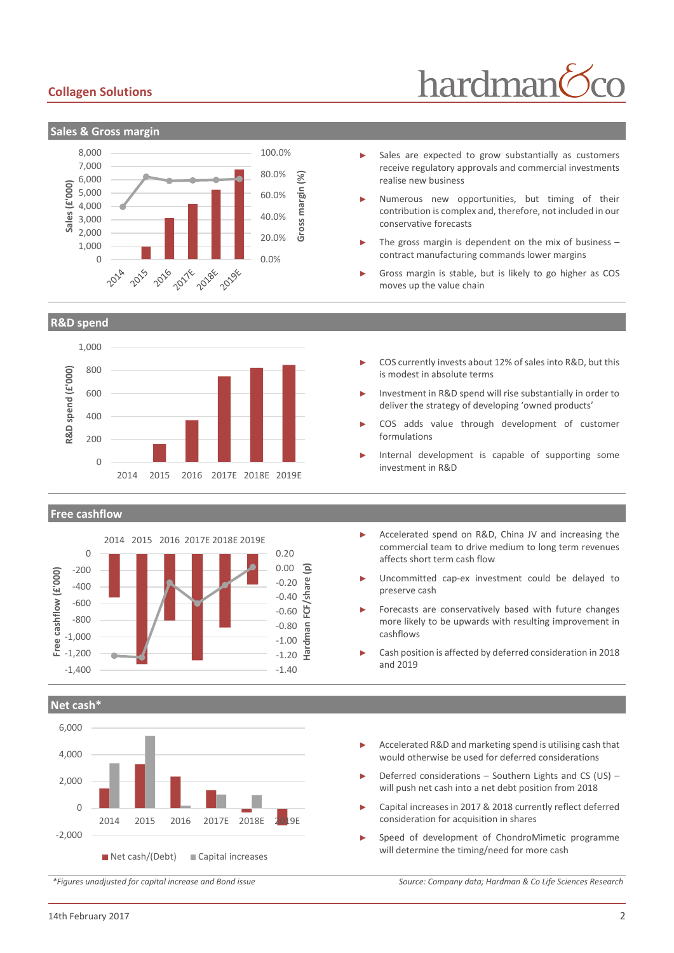#### **Collagen Solutions**



#### **R&D spend**



#### **Free cashflow**



**Net cash\***



Sales are expected to grow substantially as customers

hardman

- receive regulatory approvals and commercial investments realise new business
- Numerous new opportunities, but timing of their contribution is complex and, therefore, not included in our conservative forecasts
- The gross margin is dependent on the mix of business  $$ contract manufacturing commands lower margins
- Gross margin is stable, but is likely to go higher as COS moves up the value chain
- COS currently invests about 12% of sales into R&D, but this is modest in absolute terms
- Investment in R&D spend will rise substantially in order to deliver the strategy of developing 'owned products'
- COS adds value through development of customer formulations
- Internal development is capable of supporting some investment in R&D
- ► Accelerated spend on R&D, China JV and increasing the commercial team to drive medium to long term revenues affects short term cash flow
- Uncommitted cap-ex investment could be delayed to preserve cash
- Forecasts are conservatively based with future changes more likely to be upwards with resulting improvement in cashflows
- Cash position is affected by deferred consideration in 2018 and 2019
- Accelerated R&D and marketing spend is utilising cash that would otherwise be used for deferred considerations
- Deferred considerations Southern Lights and CS (US) will push net cash into a net debt position from 2018
- Capital increases in 2017 & 2018 currently reflect deferred consideration for acquisition in shares
- Speed of development of ChondroMimetic programme will determine the timing/need for more cash

*\*Figures unadjusted for capital increase and Bond issue Source: Company data; Hardman & Co Life Sciences Research*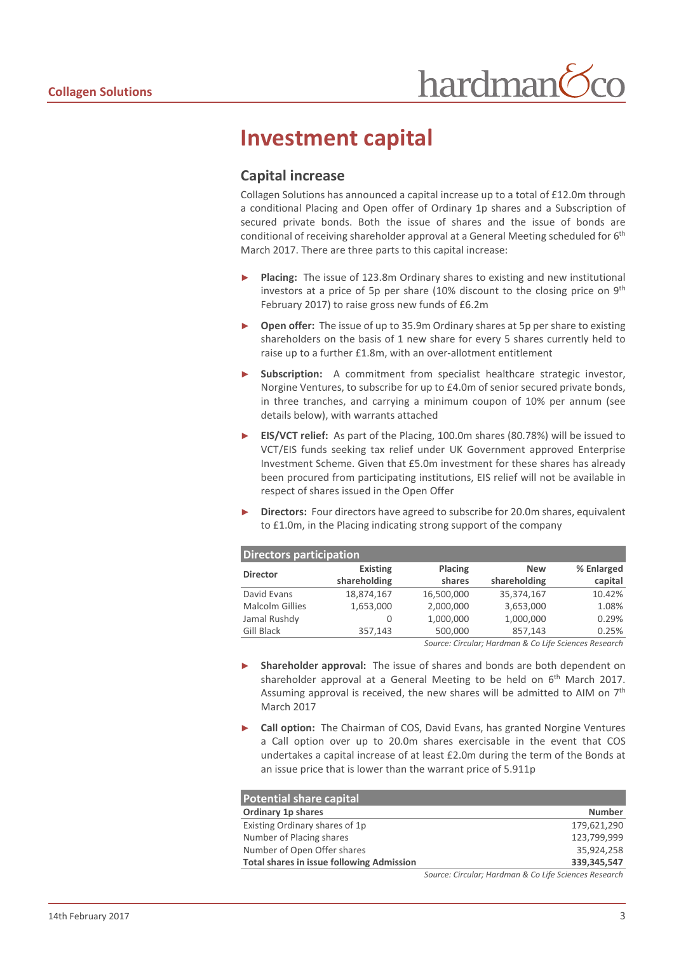### **Investment capital**

#### **Capital increase**

Collagen Solutions has announced a capital increase up to a total of £12.0m through a conditional Placing and Open offer of Ordinary 1p shares and a Subscription of secured private bonds. Both the issue of shares and the issue of bonds are conditional of receiving shareholder approval at a General Meeting scheduled for 6<sup>th</sup> March 2017. There are three parts to this capital increase:

- Placing: The issue of 123.8m Ordinary shares to existing and new institutional investors at a price of 5p per share  $(10\%$  discount to the closing price on 9<sup>th</sup> February 2017) to raise gross new funds of £6.2m
- **Open offer:** The issue of up to 35.9m Ordinary shares at 5p per share to existing shareholders on the basis of 1 new share for every 5 shares currently held to raise up to a further £1.8m, with an over-allotment entitlement
- **Subscription:** A commitment from specialist healthcare strategic investor, Norgine Ventures, to subscribe for up to £4.0m of senior secured private bonds, in three tranches, and carrying a minimum coupon of 10% per annum (see details below), with warrants attached
- ► **EIS/VCT relief:** As part of the Placing, 100.0m shares (80.78%) will be issued to VCT/EIS funds seeking tax relief under UK Government approved Enterprise Investment Scheme. Given that £5.0m investment for these shares has already been procured from participating institutions, EIS relief will not be available in respect of shares issued in the Open Offer
- ► **Directors:** Four directors have agreed to subscribe for 20.0m shares, equivalent to £1.0m, in the Placing indicating strong support of the company

| Directors participation                               |                 |                |              |            |  |  |  |
|-------------------------------------------------------|-----------------|----------------|--------------|------------|--|--|--|
| <b>Director</b>                                       | <b>Existing</b> | <b>Placing</b> | <b>New</b>   | % Enlarged |  |  |  |
|                                                       | shareholding    | shares         | shareholding | capital    |  |  |  |
| David Evans                                           | 18,874,167      | 16,500,000     | 35,374,167   | 10.42%     |  |  |  |
| <b>Malcolm Gillies</b>                                | 1,653,000       | 2,000,000      | 3,653,000    | 1.08%      |  |  |  |
| Jamal Rushdy                                          | 0               | 1,000,000      | 1,000,000    | 0.29%      |  |  |  |
| <b>Gill Black</b>                                     | 357.143         | 500,000        | 857,143      | 0.25%      |  |  |  |
| Source: Circular: Hardman & Co Life Sciences Research |                 |                |              |            |  |  |  |

*Source: Circular; Hardman & Co Life Sciences Research*

- **Shareholder approval:** The issue of shares and bonds are both dependent on shareholder approval at a General Meeting to be held on  $6<sup>th</sup>$  March 2017. Assuming approval is received, the new shares will be admitted to AIM on  $7<sup>th</sup>$ March 2017
- **Call option:** The Chairman of COS, David Evans, has granted Norgine Ventures a Call option over up to 20.0m shares exercisable in the event that COS undertakes a capital increase of at least £2.0m during the term of the Bonds at an issue price that is lower than the warrant price of 5.911p

| <b>Potential share capital</b>                   |                                                         |
|--------------------------------------------------|---------------------------------------------------------|
| Ordinary 1p shares                               | <b>Number</b>                                           |
| Existing Ordinary shares of 1p                   | 179,621,290                                             |
| Number of Placing shares                         | 123,799,999                                             |
| Number of Open Offer shares                      | 35,924,258                                              |
| <b>Total shares in issue following Admission</b> | 339,345,547                                             |
|                                                  | Causeau Cisaularu I Iardman P. Califa Caianaga Dacaarah |

*Source: Circular; Hardman & Co Life Sciences Research*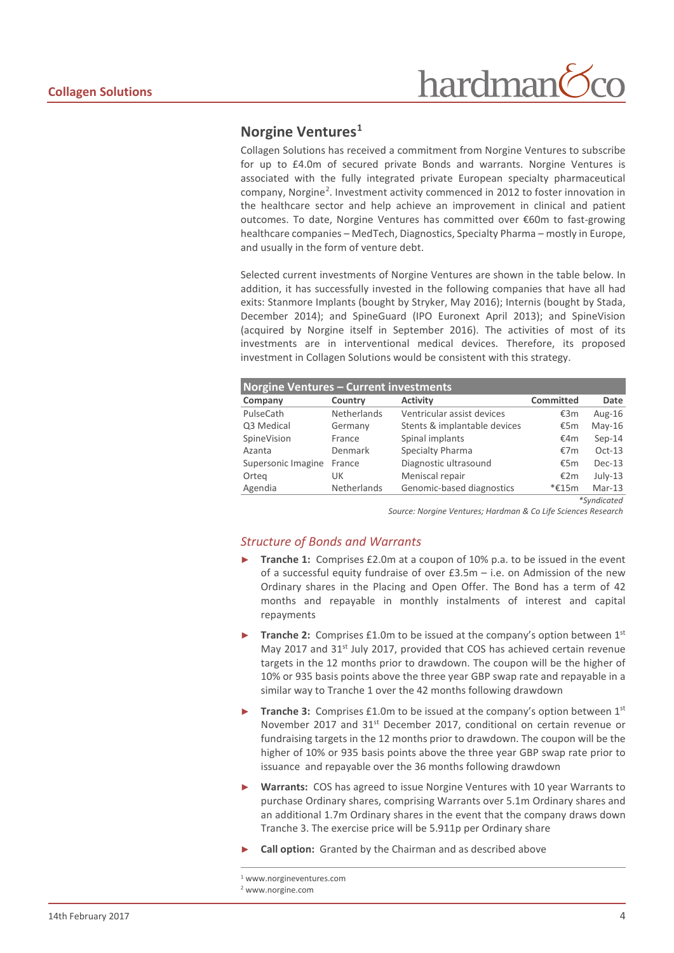# hardman

#### **Norgine Venture[s1](#page-3-0)**

Collagen Solutions has received a commitment from Norgine Ventures to subscribe for up to £4.0m of secured private Bonds and warrants. Norgine Ventures is associated with the fully integrated private European specialty pharmaceutical company, Norgine<sup>[2](#page-3-1)</sup>. Investment activity commenced in 2012 to foster innovation in the healthcare sector and help achieve an improvement in clinical and patient outcomes. To date, Norgine Ventures has committed over €60m to fast-growing healthcare companies – MedTech, Diagnostics, Specialty Pharma – mostly in Europe, and usually in the form of venture debt.

Selected current investments of Norgine Ventures are shown in the table below. In addition, it has successfully invested in the following companies that have all had exits: Stanmore Implants (bought by Stryker, May 2016); Internis (bought by Stada, December 2014); and SpineGuard (IPO Euronext April 2013); and SpineVision (acquired by Norgine itself in September 2016). The activities of most of its investments are in interventional medical devices. Therefore, its proposed investment in Collagen Solutions would be consistent with this strategy.

| <b>Norgine Ventures - Current investments</b> |                    |                              |                  |             |  |  |
|-----------------------------------------------|--------------------|------------------------------|------------------|-------------|--|--|
| Company                                       | Country            | <b>Activity</b>              | <b>Committed</b> | Date        |  |  |
| PulseCath                                     | <b>Netherlands</b> | Ventricular assist devices   | €3m              | Aug- $16$   |  |  |
| Q3 Medical                                    | Germany            | Stents & implantable devices | €5m              | $May-16$    |  |  |
| SpineVision                                   | France             | Spinal implants              | €4m              | $Sep-14$    |  |  |
| Azanta                                        | Denmark            | Specialty Pharma             | €7m              | $Oct-13$    |  |  |
| Supersonic Imagine                            | France             | Diagnostic ultrasound        | €5m              | $Dec-13$    |  |  |
| Orteg                                         | UK                 | Meniscal repair              | €2m              | $July-13$   |  |  |
| Agendia                                       | Netherlands        | Genomic-based diagnostics    | $*£15m$          | $Mar-13$    |  |  |
|                                               |                    |                              |                  | *Syndicated |  |  |

*Source: Norgine Ventures; Hardman & Co Life Sciences Research*

#### *Structure of Bonds and Warrants*

- **Tranche 1:** Comprises £2.0m at a coupon of 10% p.a. to be issued in the event of a successful equity fundraise of over £3.5m – i.e. on Admission of the new Ordinary shares in the Placing and Open Offer. The Bond has a term of 42 months and repayable in monthly instalments of interest and capital repayments
- **Tranche 2:** Comprises £1.0m to be issued at the company's option between 1<sup>st</sup> May 2017 and 31<sup>st</sup> July 2017, provided that COS has achieved certain revenue targets in the 12 months prior to drawdown. The coupon will be the higher of 10% or 935 basis points above the three year GBP swap rate and repayable in a similar way to Tranche 1 over the 42 months following drawdown
- **Tranche 3:** Comprises £1.0m to be issued at the company's option between 1<sup>st</sup> November 2017 and 31<sup>st</sup> December 2017, conditional on certain revenue or fundraising targets in the 12 months prior to drawdown. The coupon will be the higher of 10% or 935 basis points above the three year GBP swap rate prior to issuance and repayable over the 36 months following drawdown
- **Warrants:** COS has agreed to issue Norgine Ventures with 10 year Warrants to purchase Ordinary shares, comprising Warrants over 5.1m Ordinary shares and an additional 1.7m Ordinary shares in the event that the company draws down Tranche 3. The exercise price will be 5.911p per Ordinary share
- **Call option:** Granted by the Chairman and as described above

<span id="page-3-1"></span><sup>2</sup> www.norgine.com

<span id="page-3-0"></span> <sup>1</sup> www.norgineventures.com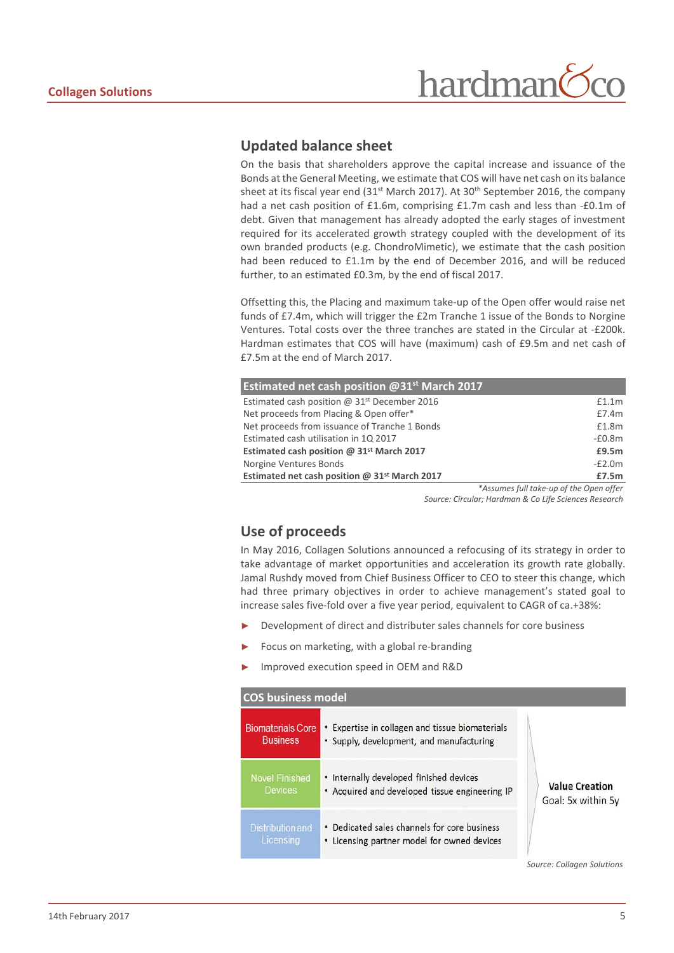#### **Updated balance sheet**

On the basis that shareholders approve the capital increase and issuance of the Bonds at the General Meeting, we estimate that COS will have net cash on its balance sheet at its fiscal year end  $(31<sup>st</sup>$  March 2017). At  $30<sup>th</sup>$  September 2016, the company had a net cash position of £1.6m, comprising £1.7m cash and less than -£0.1m of debt. Given that management has already adopted the early stages of investment required for its accelerated growth strategy coupled with the development of its own branded products (e.g. ChondroMimetic), we estimate that the cash position had been reduced to £1.1m by the end of December 2016, and will be reduced further, to an estimated £0.3m, by the end of fiscal 2017.

Offsetting this, the Placing and maximum take-up of the Open offer would raise net funds of £7.4m, which will trigger the £2m Tranche 1 issue of the Bonds to Norgine Ventures. Total costs over the three tranches are stated in the Circular at -£200k. Hardman estimates that COS will have (maximum) cash of £9.5m and net cash of £7.5m at the end of March 2017.

| <b>Estimated net cash position @31st March 2017</b>   |                   |                      |                                                               |
|-------------------------------------------------------|-------------------|----------------------|---------------------------------------------------------------|
| Estimated cash position @ $31st$ December 2016        |                   |                      | £1.1m                                                         |
| Net proceeds from Placing & Open offer*               |                   |                      | £7.4m                                                         |
| Net proceeds from issuance of Tranche 1 Bonds         |                   |                      | £1.8m                                                         |
| Estimated cash utilisation in 1Q 2017                 |                   |                      | $-£0.8m$                                                      |
| Estimated cash position @ 31 <sup>st</sup> March 2017 |                   |                      | £9.5m                                                         |
| Norgine Ventures Bonds                                |                   |                      | $-E2.0m$                                                      |
| Estimated net cash position @ $31st$ March 2017       |                   |                      | £7.5m                                                         |
|                                                       | $h = \frac{1}{2}$ | $\sim$ $\sim$ $\sim$ | $\mathcal{L}$ . The contract of the contract of $\mathcal{L}$ |

*\*Assumes full take-up of the Open offer Source: Circular; Hardman & Co Life Sciences Research*

#### **Use of proceeds**

In May 2016, Collagen Solutions announced a refocusing of its strategy in order to take advantage of market opportunities and acceleration its growth rate globally. Jamal Rushdy moved from Chief Business Officer to CEO to steer this change, which had three primary objectives in order to achieve management's stated goal to increase sales five-fold over a five year period, equivalent to CAGR of ca.+38%:

- Development of direct and distributer sales channels for core business
- Focus on marketing, with a global re-branding
- ► Improved execution speed in OEM and R&D

#### **COS business model**

| <b>Biomaterials Core</b><br><b>Business</b> | • Expertise in collagen and tissue biomaterials<br>• Supply, development, and manufacturing |                                             |
|---------------------------------------------|---------------------------------------------------------------------------------------------|---------------------------------------------|
| <b>Novel Finished</b><br><b>Devices</b>     | • Internally developed finished devices<br>• Acquired and developed tissue engineering IP   | <b>Value Creation</b><br>Goal: 5x within 5y |
| Distribution and<br>Licensing               | • Dedicated sales channels for core business<br>• Licensing partner model for owned devices |                                             |

*Source: Collagen Solutions*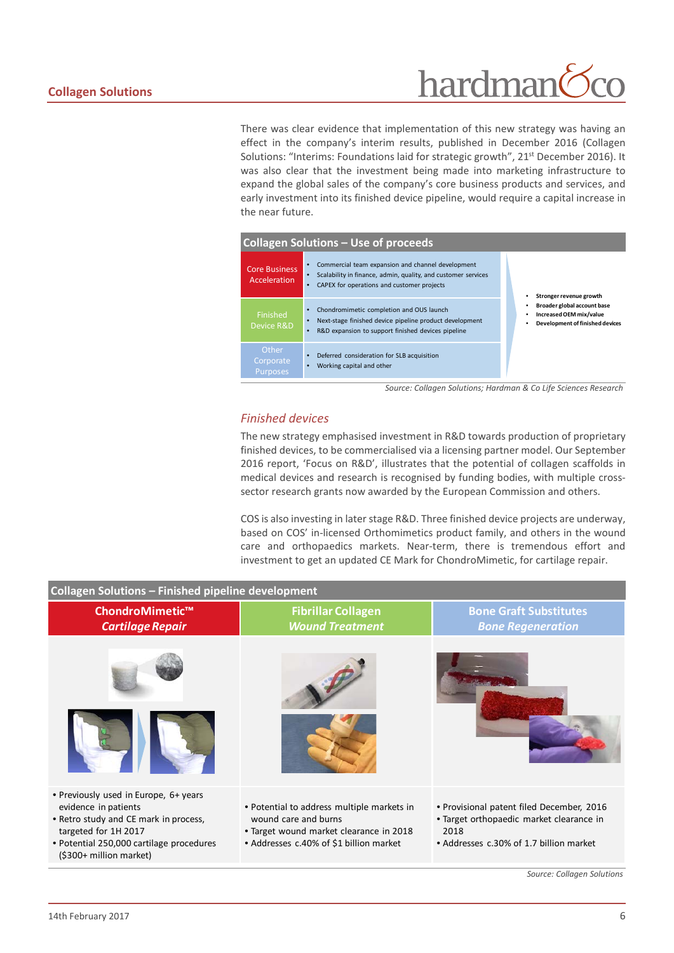# hardman

There was clear evidence that implementation of this new strategy was having an effect in the company's interim results, published in December 2016 (Collagen Solutions: "Interims: Foundations laid for strategic growth", 21<sup>st</sup> December 2016). It was also clear that the investment being made into marketing infrastructure to expand the global sales of the company's core business products and services, and early investment into its finished device pipeline, would require a capital increase in the near future.



*Source: Collagen Solutions; Hardman & Co Life Sciences Research*

#### *Finished devices*

The new strategy emphasised investment in R&D towards production of proprietary finished devices, to be commercialised via a licensing partner model. Our September 2016 report, 'Focus on R&D', illustrates that the potential of collagen scaffolds in medical devices and research is recognised by funding bodies, with multiple crosssector research grants now awarded by the European Commission and others.

COS is also investing in later stage R&D. Three finished device projects are underway, based on COS' in-licensed Orthomimetics product family, and others in the wound care and orthopaedics markets. Near-term, there is tremendous effort and investment to get an updated CE Mark for ChondroMimetic, for cartilage repair.

| <b>Collagen Solutions - Finished pipeline development</b>                                                                                                                                             |                                                                                                                                                          |                                                                                                                                          |  |  |  |  |
|-------------------------------------------------------------------------------------------------------------------------------------------------------------------------------------------------------|----------------------------------------------------------------------------------------------------------------------------------------------------------|------------------------------------------------------------------------------------------------------------------------------------------|--|--|--|--|
| ChondroMimetic™<br><b>Cartilage Repair</b>                                                                                                                                                            | <b>Fibrillar Collagen</b><br><b>Wound Treatment</b>                                                                                                      | <b>Bone Graft Substitutes</b><br><b>Bone Regeneration</b>                                                                                |  |  |  |  |
|                                                                                                                                                                                                       |                                                                                                                                                          |                                                                                                                                          |  |  |  |  |
| • Previously used in Europe, 6+ years<br>evidence in patients<br>• Retro study and CE mark in process,<br>targeted for 1H 2017<br>• Potential 250,000 cartilage procedures<br>(\$300+ million market) | • Potential to address multiple markets in<br>wound care and burns<br>• Target wound market clearance in 2018<br>• Addresses c.40% of \$1 billion market | • Provisional patent filed December, 2016<br>• Target orthopaedic market clearance in<br>2018<br>• Addresses c.30% of 1.7 billion market |  |  |  |  |

*Source: Collagen Solutions*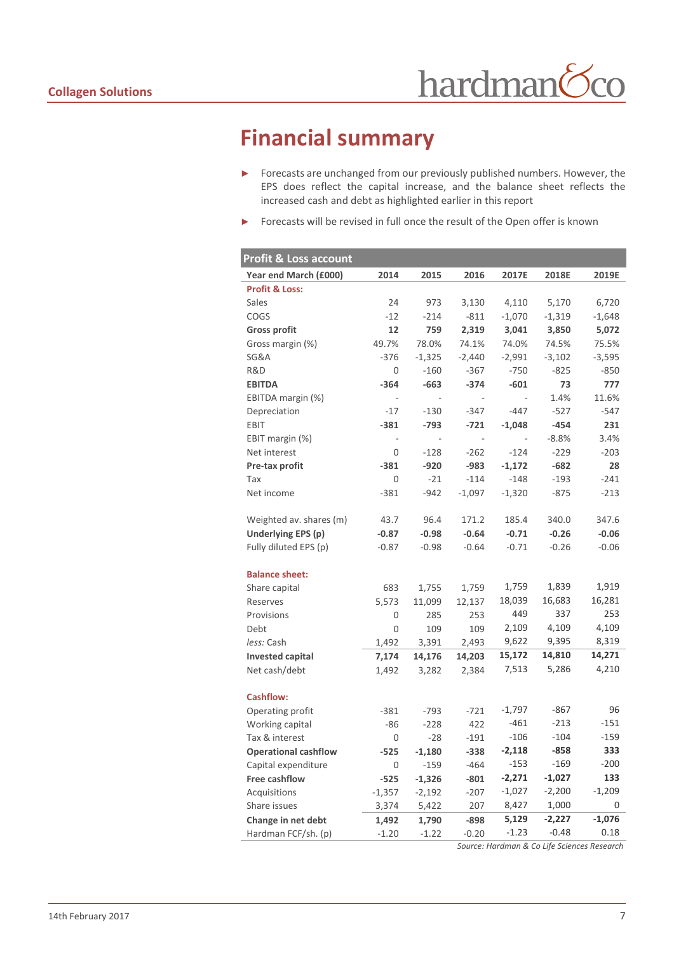## **Financial summary**

- ► Forecasts are unchanged from our previously published numbers. However, the EPS does reflect the capital increase, and the balance sheet reflects the increased cash and debt as highlighted earlier in this report
- ► Forecasts will be revised in full once the result of the Open offer is known

| <b>Profit &amp; Loss account</b> |                          |          |                          |                          |          |          |
|----------------------------------|--------------------------|----------|--------------------------|--------------------------|----------|----------|
| Year end March (£000)            | 2014                     | 2015     | 2016                     | 2017E                    | 2018E    | 2019E    |
| <b>Profit &amp; Loss:</b>        |                          |          |                          |                          |          |          |
| Sales                            | 24                       | 973      | 3,130                    | 4,110                    | 5,170    | 6,720    |
| COGS                             | $-12$                    | $-214$   | $-811$                   | $-1,070$                 | $-1,319$ | $-1,648$ |
| <b>Gross profit</b>              | 12                       | 759      | 2,319                    | 3,041                    | 3,850    | 5,072    |
| Gross margin (%)                 | 49.7%                    | 78.0%    | 74.1%                    | 74.0%                    | 74.5%    | 75.5%    |
| SG&A                             | $-376$                   | $-1,325$ | $-2,440$                 | $-2,991$                 | $-3,102$ | $-3,595$ |
| R&D                              | 0                        | $-160$   | $-367$                   | $-750$                   | $-825$   | $-850$   |
| <b>EBITDA</b>                    | $-364$                   | $-663$   | $-374$                   | $-601$                   | 73       | 777      |
| EBITDA margin (%)                | $\overline{\phantom{a}}$ | ÷        | $\overline{\phantom{a}}$ | $\overline{\phantom{a}}$ | 1.4%     | 11.6%    |
| Depreciation                     | $-17$                    | $-130$   | $-347$                   | $-447$                   | $-527$   | $-547$   |
| <b>EBIT</b>                      | $-381$                   | $-793$   | $-721$                   | $-1,048$                 | $-454$   | 231      |
| EBIT margin (%)                  | $\sim$                   |          | $\sim$                   |                          | $-8.8%$  | 3.4%     |
| Net interest                     | 0                        | $-128$   | $-262$                   | $-124$                   | $-229$   | $-203$   |
| Pre-tax profit                   | $-381$                   | $-920$   | $-983$                   | $-1,172$                 | $-682$   | 28       |
| Tax                              | 0                        | $-21$    | $-114$                   | $-148$                   | $-193$   | $-241$   |
| Net income                       | $-381$                   | $-942$   | $-1,097$                 | $-1,320$                 | $-875$   | $-213$   |
|                                  |                          |          |                          |                          |          |          |
| Weighted av. shares (m)          | 43.7                     | 96.4     | 171.2                    | 185.4                    | 340.0    | 347.6    |
| Underlying EPS (p)               | $-0.87$                  | $-0.98$  | $-0.64$                  | $-0.71$                  | $-0.26$  | $-0.06$  |
| Fully diluted EPS (p)            | $-0.87$                  | $-0.98$  | $-0.64$                  | $-0.71$                  | $-0.26$  | $-0.06$  |
|                                  |                          |          |                          |                          |          |          |
| <b>Balance sheet:</b>            |                          |          |                          |                          |          |          |
| Share capital                    | 683                      | 1,755    | 1,759                    | 1,759                    | 1,839    | 1,919    |
| Reserves                         | 5,573                    | 11,099   | 12,137                   | 18,039                   | 16,683   | 16,281   |
| Provisions                       | 0                        | 285      | 253                      | 449                      | 337      | 253      |
| Debt                             | 0                        | 109      | 109                      | 2,109                    | 4,109    | 4,109    |
| less: Cash                       | 1,492                    | 3,391    | 2,493                    | 9,622                    | 9,395    | 8,319    |
| <b>Invested capital</b>          | 7,174                    | 14,176   | 14,203                   | 15,172                   | 14,810   | 14,271   |
| Net cash/debt                    | 1,492                    | 3,282    | 2,384                    | 7,513                    | 5,286    | 4,210    |
|                                  |                          |          |                          |                          |          |          |
| <b>Cashflow:</b>                 |                          |          |                          |                          |          |          |
| Operating profit                 | $-381$                   | $-793$   | $-721$                   | $-1,797$                 | $-867$   | 96       |
| Working capital                  | $-86$                    | $-228$   | 422                      | $-461$                   | $-213$   | $-151$   |
| Tax & interest                   | 0                        | $-28$    | $-191$                   | $-106$                   | $-104$   | $-159$   |
| <b>Operational cashflow</b>      | $-525$                   | $-1,180$ | $-338$                   | $-2,118$                 | $-858$   | 333      |
| Capital expenditure              | 0                        | $-159$   | $-464$                   | $-153$                   | $-169$   | $-200$   |
| Free cashflow                    | $-525$                   | $-1,326$ | $-801$                   | $-2,271$                 | $-1,027$ | 133      |
| Acquisitions                     | $-1,357$                 | $-2,192$ | $-207$                   | -1,027                   | $-2,200$ | $-1,209$ |
| Share issues                     | 3,374                    | 5,422    | 207                      | 8,427                    | 1,000    | 0        |
| Change in net debt               | 1,492                    | 1,790    | $-898$                   | 5,129                    | $-2,227$ | $-1,076$ |
| Hardman FCF/sh. (p)              | $-1.20$                  | $-1.22$  | $-0.20$                  | $-1.23$                  | $-0.48$  | 0.18     |

*Source: Hardman & Co Life Sciences Research*